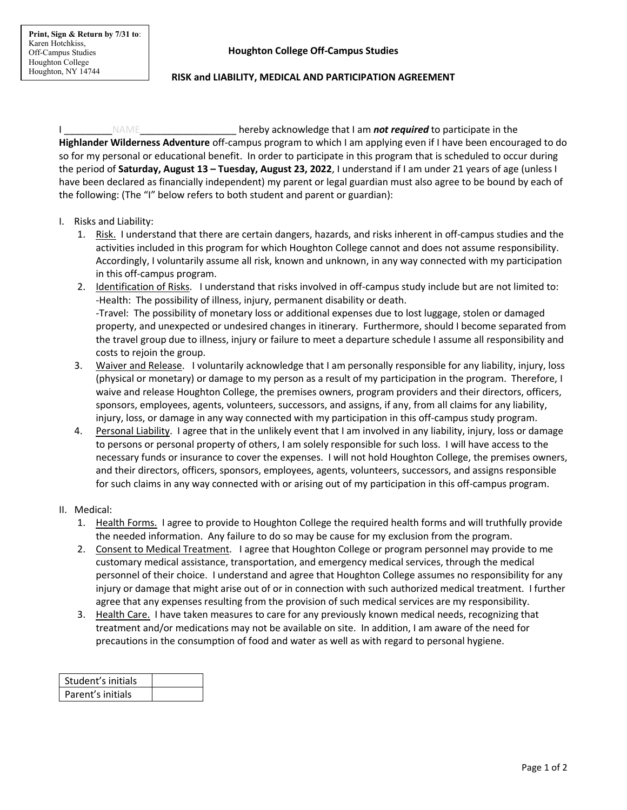### **RISK and LIABILITY, MEDICAL AND PARTICIPATION AGREEMENT**

I \_\_\_\_\_\_\_\_\_NAME\_\_\_\_\_\_\_\_\_\_\_\_\_\_\_\_\_\_ hereby acknowledge that I am *not required* to participate in the **Highlander Wilderness Adventure** off-campus program to which I am applying even if I have been encouraged to do so for my personal or educational benefit. In order to participate in this program that is scheduled to occur during the period of **Saturday, August 13 – Tuesday, August 23, 2022**, I understand if I am under 21 years of age (unless I have been declared as financially independent) my parent or legal guardian must also agree to be bound by each of the following: (The "I" below refers to both student and parent or guardian):

### I. Risks and Liability:

- 1. Risk. I understand that there are certain dangers, hazards, and risks inherent in off-campus studies and the activities included in this program for which Houghton College cannot and does not assume responsibility. Accordingly, I voluntarily assume all risk, known and unknown, in any way connected with my participation in this off-campus program.
- 2. Identification of Risks. I understand that risks involved in off-campus study include but are not limited to: -Health: The possibility of illness, injury, permanent disability or death. -Travel: The possibility of monetary loss or additional expenses due to lost luggage, stolen or damaged property, and unexpected or undesired changes in itinerary. Furthermore, should I become separated from the travel group due to illness, injury or failure to meet a departure schedule I assume all responsibility and costs to rejoin the group.
- 3. Waiver and Release. I voluntarily acknowledge that I am personally responsible for any liability, injury, loss (physical or monetary) or damage to my person as a result of my participation in the program. Therefore, I waive and release Houghton College, the premises owners, program providers and their directors, officers, sponsors, employees, agents, volunteers, successors, and assigns, if any, from all claims for any liability, injury, loss, or damage in any way connected with my participation in this off-campus study program.
- 4. Personal Liability. I agree that in the unlikely event that I am involved in any liability, injury, loss or damage to persons or personal property of others, I am solely responsible for such loss. I will have access to the necessary funds or insurance to cover the expenses. I will not hold Houghton College, the premises owners, and their directors, officers, sponsors, employees, agents, volunteers, successors, and assigns responsible for such claims in any way connected with or arising out of my participation in this off-campus program.

### II. Medical:

- 1. Health Forms. I agree to provide to Houghton College the required health forms and will truthfully provide the needed information. Any failure to do so may be cause for my exclusion from the program.
- 2. Consent to Medical Treatment. I agree that Houghton College or program personnel may provide to me customary medical assistance, transportation, and emergency medical services, through the medical personnel of their choice. I understand and agree that Houghton College assumes no responsibility for any injury or damage that might arise out of or in connection with such authorized medical treatment. I further agree that any expenses resulting from the provision of such medical services are my responsibility.
- 3. Health Care. I have taken measures to care for any previously known medical needs, recognizing that treatment and/or medications may not be available on site. In addition, I am aware of the need for precautions in the consumption of food and water as well as with regard to personal hygiene.

| Student's initials |  |
|--------------------|--|
| Parent's initials  |  |